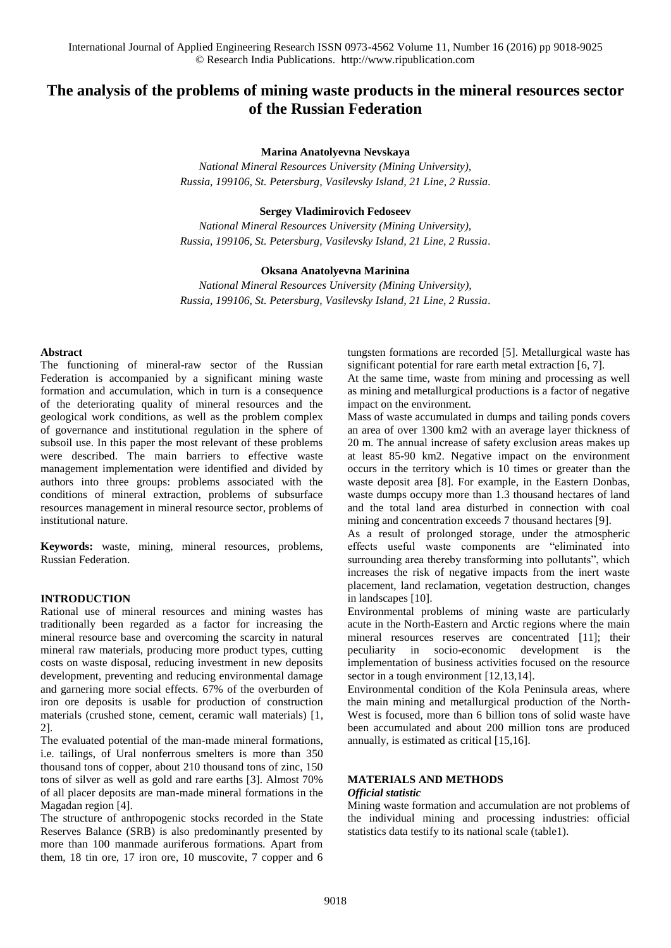# **The analysis of the problems of mining waste products in the mineral resources sector of the Russian Federation**

### **Marina Anatolyevna Nevskaya**

*National Mineral Resources University (Mining University), Russia, 199106, St. Petersburg, Vasilevsky Island, 21 Line, 2 Russia.*

### **Sergey Vladimirovich Fedoseev**

*National Mineral Resources University (Mining University), Russia, 199106, St. Petersburg, Vasilevsky Island, 21 Line, 2 Russia.*

### **Oksana Anatolyevna Marinina**

*National Mineral Resources University (Mining University), Russia, 199106, St. Petersburg, Vasilevsky Island, 21 Line, 2 Russia.*

#### **Abstract**

The functioning of mineral-raw sector of the Russian Federation is accompanied by a significant mining waste formation and accumulation, which in turn is a consequence of the deteriorating quality of mineral resources and the geological work conditions, as well as the problem complex of governance and institutional regulation in the sphere of subsoil use. In this paper the most relevant of these problems were described. The main barriers to effective waste management implementation were identified and divided by authors into three groups: problems associated with the conditions of mineral extraction, problems of subsurface resources management in mineral resource sector, problems of institutional nature.

**Keywords:** waste, mining, mineral resources, problems, Russian Federation.

### **INTRODUCTION**

Rational use of mineral resources and mining wastes has traditionally been regarded as a factor for increasing the mineral resource base and overcoming the scarcity in natural mineral raw materials, producing more product types, cutting costs on waste disposal, reducing investment in new deposits development, preventing and reducing environmental damage and garnering more social effects. 67% of the overburden of iron ore deposits is usable for production of construction materials (crushed stone, cement, ceramic wall materials) [1, 2].

The evaluated potential of the man-made mineral formations, i.e. tailings, of Ural nonferrous smelters is more than 350 thousand tons of copper, about 210 thousand tons of zinc, 150 tons of silver as well as gold and rare earths [3]. Almost 70% of all placer deposits are man-made mineral formations in the Magadan region [4].

The structure of anthropogenic stocks recorded in the State Reserves Balance (SRB) is also predominantly presented by more than 100 manmade auriferous formations. Apart from them, 18 tin ore, 17 iron ore, 10 muscovite, 7 copper and 6 tungsten formations are recorded [5]. Metallurgical waste has significant potential for rare earth metal extraction [6, 7].

At the same time, waste from mining and processing as well as mining and metallurgical productions is a factor of negative impact on the environment.

Mass of waste accumulated in dumps and tailing ponds covers an area of over 1300 km2 with an average layer thickness of 20 m. The annual increase of safety exclusion areas makes up at least 85-90 km2. Negative impact on the environment occurs in the territory which is 10 times or greater than the waste deposit area [8]. For example, in the Eastern Donbas, waste dumps occupy more than 1.3 thousand hectares of land and the total land area disturbed in connection with coal mining and concentration exceeds 7 thousand hectares [9].

As a result of prolonged storage, under the atmospheric effects useful waste components are "eliminated into surrounding area thereby transforming into pollutants", which increases the risk of negative impacts from the inert waste placement, land reclamation, vegetation destruction, changes in landscapes [10].

Environmental problems of mining waste are particularly acute in the North-Eastern and Arctic regions where the main mineral resources reserves are concentrated [11]; their peculiarity in socio-economic development is the implementation of business activities focused on the resource sector in a tough environment [12,13,14].

Environmental condition of the Kola Peninsula areas, where the main mining and metallurgical production of the North-West is focused, more than 6 billion tons of solid waste have been accumulated and about 200 million tons are produced annually, is estimated as critical [15,16].

### **MATERIALS AND METHODS**

### *Official statistic*

Mining waste formation and accumulation are not problems of the individual mining and processing industries: official statistics data testify to its national scale (table1).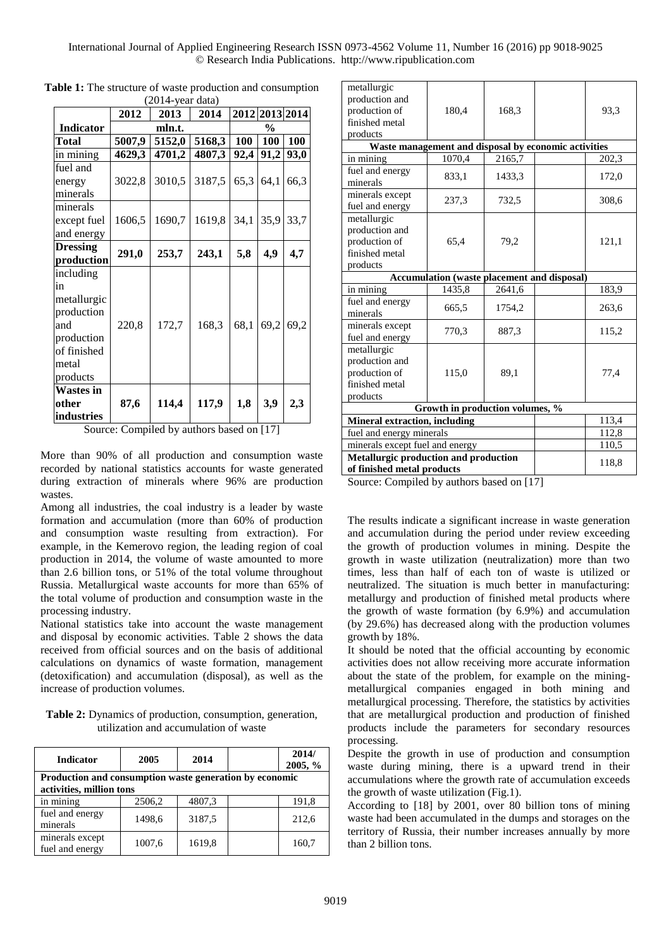International Journal of Applied Engineering Research ISSN 0973-4562 Volume 11, Number 16 (2016) pp 9018-9025 © Research India Publications. http://www.ripublication.com

| 2012 2013 2014<br>2014<br>2012<br><b>Indicator</b><br>mln.t.<br>$\frac{0}{0}$<br>5007,9<br>5168,3<br>100<br>5152,0<br><b>100</b><br>100<br>Total<br>in mining<br>4629,3<br>4701,2<br>4807,3<br>92,4<br>91,2<br>fuel and<br>3010,5<br>3187,5<br>65,3<br>3022,8<br>64,1<br>66,3<br>energy<br>minerals<br>minerals<br>1619,8<br>35,9<br>1606,5<br>1690,7<br>34,1<br>33,7<br>except fuel<br>and energy<br><b>Dressing</b><br>4,9<br>291,0<br>253,7<br>5,8<br>4,7<br>243,1<br>production<br>including<br>in<br>metallurgic<br>production<br>168,3<br>68,1<br>69,2<br>69,2<br>220,8<br>172,7<br>and<br>production<br>of finished<br>metal<br>products<br><b>Wastes in</b><br>3,9<br>114,4<br>117,9<br>1,8<br>87,6<br>other<br>2,3<br>industries | ,∠∪ 1<br>y can uana) |  |      |  |  |  |      |
|-------------------------------------------------------------------------------------------------------------------------------------------------------------------------------------------------------------------------------------------------------------------------------------------------------------------------------------------------------------------------------------------------------------------------------------------------------------------------------------------------------------------------------------------------------------------------------------------------------------------------------------------------------------------------------------------------------------------------------------------|----------------------|--|------|--|--|--|------|
|                                                                                                                                                                                                                                                                                                                                                                                                                                                                                                                                                                                                                                                                                                                                           |                      |  | 2013 |  |  |  |      |
|                                                                                                                                                                                                                                                                                                                                                                                                                                                                                                                                                                                                                                                                                                                                           |                      |  |      |  |  |  |      |
|                                                                                                                                                                                                                                                                                                                                                                                                                                                                                                                                                                                                                                                                                                                                           |                      |  |      |  |  |  |      |
|                                                                                                                                                                                                                                                                                                                                                                                                                                                                                                                                                                                                                                                                                                                                           |                      |  |      |  |  |  | 93,0 |
|                                                                                                                                                                                                                                                                                                                                                                                                                                                                                                                                                                                                                                                                                                                                           |                      |  |      |  |  |  |      |
|                                                                                                                                                                                                                                                                                                                                                                                                                                                                                                                                                                                                                                                                                                                                           |                      |  |      |  |  |  |      |
|                                                                                                                                                                                                                                                                                                                                                                                                                                                                                                                                                                                                                                                                                                                                           |                      |  |      |  |  |  |      |
|                                                                                                                                                                                                                                                                                                                                                                                                                                                                                                                                                                                                                                                                                                                                           |                      |  |      |  |  |  |      |
|                                                                                                                                                                                                                                                                                                                                                                                                                                                                                                                                                                                                                                                                                                                                           |                      |  |      |  |  |  |      |
|                                                                                                                                                                                                                                                                                                                                                                                                                                                                                                                                                                                                                                                                                                                                           |                      |  |      |  |  |  |      |
|                                                                                                                                                                                                                                                                                                                                                                                                                                                                                                                                                                                                                                                                                                                                           |                      |  |      |  |  |  |      |
|                                                                                                                                                                                                                                                                                                                                                                                                                                                                                                                                                                                                                                                                                                                                           |                      |  |      |  |  |  |      |
|                                                                                                                                                                                                                                                                                                                                                                                                                                                                                                                                                                                                                                                                                                                                           |                      |  |      |  |  |  |      |
|                                                                                                                                                                                                                                                                                                                                                                                                                                                                                                                                                                                                                                                                                                                                           |                      |  |      |  |  |  |      |
|                                                                                                                                                                                                                                                                                                                                                                                                                                                                                                                                                                                                                                                                                                                                           |                      |  |      |  |  |  |      |
|                                                                                                                                                                                                                                                                                                                                                                                                                                                                                                                                                                                                                                                                                                                                           |                      |  |      |  |  |  |      |
|                                                                                                                                                                                                                                                                                                                                                                                                                                                                                                                                                                                                                                                                                                                                           |                      |  |      |  |  |  |      |
|                                                                                                                                                                                                                                                                                                                                                                                                                                                                                                                                                                                                                                                                                                                                           |                      |  |      |  |  |  |      |
|                                                                                                                                                                                                                                                                                                                                                                                                                                                                                                                                                                                                                                                                                                                                           |                      |  |      |  |  |  |      |
|                                                                                                                                                                                                                                                                                                                                                                                                                                                                                                                                                                                                                                                                                                                                           |                      |  |      |  |  |  |      |
|                                                                                                                                                                                                                                                                                                                                                                                                                                                                                                                                                                                                                                                                                                                                           |                      |  |      |  |  |  |      |
|                                                                                                                                                                                                                                                                                                                                                                                                                                                                                                                                                                                                                                                                                                                                           |                      |  |      |  |  |  |      |
|                                                                                                                                                                                                                                                                                                                                                                                                                                                                                                                                                                                                                                                                                                                                           |                      |  |      |  |  |  |      |
| $\cdot$<br>F177<br>$\sim$<br>11<br>$\cdot$ 1<br>$\mathbf{1}$<br>1.                                                                                                                                                                                                                                                                                                                                                                                                                                                                                                                                                                                                                                                                        |                      |  |      |  |  |  |      |

**Table 1:** The structure of waste production and consumption  $(2014$ -year data)

Source: Compiled by authors based on [17]

More than 90% of all production and consumption waste recorded by national statistics accounts for waste generated during extraction of minerals where 96% are production wastes.

Among all industries, the coal industry is a leader by waste formation and accumulation (more than 60% of production and consumption waste resulting from extraction). For example, in the Kemerovo region, the leading region of coal production in 2014, the volume of waste amounted to more than 2.6 billion tons, or 51% of the total volume throughout Russia. Metallurgical waste accounts for more than 65% of the total volume of production and consumption waste in the processing industry.

National statistics take into account the waste management and disposal by economic activities. Table 2 shows the data received from official sources and on the basis of additional calculations on dynamics of waste formation, management (detoxification) and accumulation (disposal), as well as the increase of production volumes.

**Table 2:** Dynamics of production, consumption, generation, utilization and accumulation of waste

| <b>Indicator</b>                                                                    | 2005   | 2014   |  | 2014/<br>2005, % |  |
|-------------------------------------------------------------------------------------|--------|--------|--|------------------|--|
| Production and consumption waste generation by economic<br>activities, million tons |        |        |  |                  |  |
| in mining                                                                           | 2506,2 | 4807,3 |  | 191,8            |  |
| fuel and energy<br>minerals                                                         | 1498,6 | 3187.5 |  | 212,6            |  |
| minerals except<br>fuel and energy                                                  | 1007,6 | 1619,8 |  | 160,7            |  |

| metallurgic                                          |                                       |        |  |       |
|------------------------------------------------------|---------------------------------------|--------|--|-------|
| production and                                       |                                       |        |  |       |
| production of                                        | 180,4                                 | 168,3  |  | 93,3  |
| finished metal                                       |                                       |        |  |       |
| products                                             |                                       |        |  |       |
| Waste management and disposal by economic activities |                                       |        |  |       |
| $\overline{\text{in}}$ mining                        | 1070,4                                | 2165,7 |  | 202,3 |
| fuel and energy                                      |                                       |        |  |       |
| minerals                                             | 833,1                                 | 1433,3 |  | 172,0 |
| minerals except                                      |                                       |        |  |       |
| fuel and energy                                      | 237,3                                 | 732,5  |  | 308,6 |
| metallurgic                                          |                                       |        |  |       |
| production and                                       |                                       |        |  |       |
| production of                                        | 65,4                                  | 79,2   |  | 121,1 |
| finished metal                                       |                                       |        |  |       |
| products                                             |                                       |        |  |       |
| <b>Accumulation (waste placement and disposal)</b>   |                                       |        |  |       |
| in mining                                            | 1435,8                                | 2641,6 |  | 183,9 |
| fuel and energy                                      | 665,5                                 | 1754,2 |  | 263,6 |
| minerals                                             |                                       |        |  |       |
| minerals except                                      | 770,3                                 | 887,3  |  | 115,2 |
| fuel and energy                                      |                                       |        |  |       |
| metallurgic                                          |                                       |        |  |       |
| production and                                       |                                       |        |  |       |
| production of                                        | 115,0                                 | 89,1   |  | 77,4  |
| finished metal                                       |                                       |        |  |       |
| products                                             |                                       |        |  |       |
| Growth in production volumes, %                      |                                       |        |  |       |
| <b>Mineral extraction, including</b>                 |                                       |        |  | 113,4 |
| fuel and energy minerals                             |                                       | 112,8  |  |       |
|                                                      | minerals except fuel and energy       |        |  |       |
|                                                      | Metallurgic production and production |        |  |       |
| of finished metal products                           |                                       | 118,8  |  |       |

Source: Compiled by authors based on [17]

The results indicate a significant increase in waste generation and accumulation during the period under review exceeding the growth of production volumes in mining. Despite the growth in waste utilization (neutralization) more than two times, less than half of each ton of waste is utilized or neutralized. The situation is much better in manufacturing: metallurgy and production of finished metal products where the growth of waste formation (by 6.9%) and accumulation (by 29.6%) has decreased along with the production volumes growth by 18%.

It should be noted that the official accounting by economic activities does not allow receiving more accurate information about the state of the problem, for example on the miningmetallurgical companies engaged in both mining and metallurgical processing. Therefore, the statistics by activities that are metallurgical production and production of finished products include the parameters for secondary resources processing.

Despite the growth in use of production and consumption waste during mining, there is a upward trend in their accumulations where the growth rate of accumulation exceeds the growth of waste utilization (Fig.1).

According to [18] by 2001, over 80 billion tons of mining waste had been accumulated in the dumps and storages on the territory of Russia, their number increases annually by more than 2 billion tons.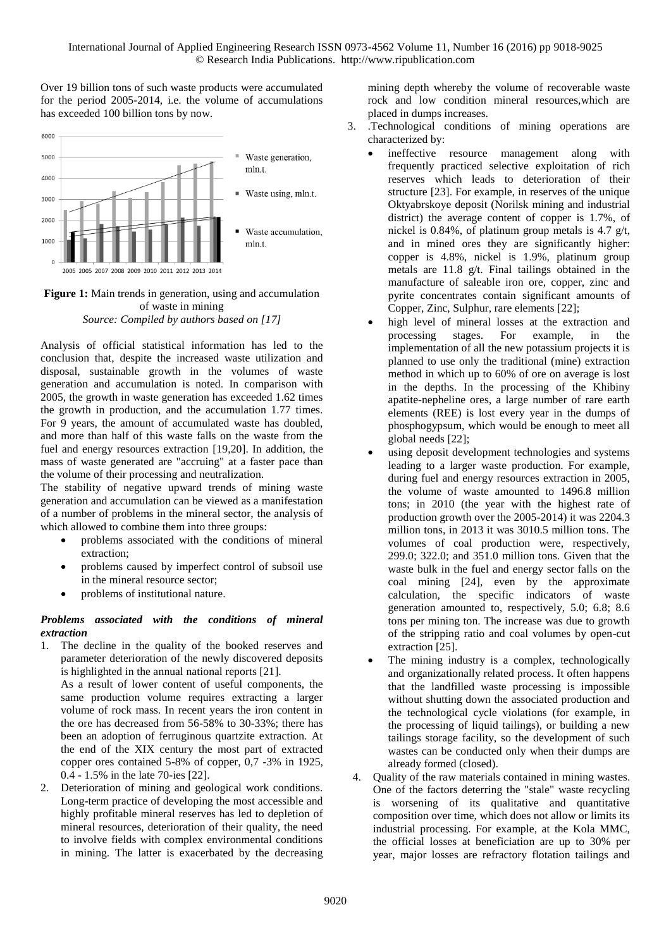Over 19 billion tons of such waste products were accumulated for the period 2005-2014, i.e. the volume of accumulations has exceeded 100 billion tons by now.



## **Figure 1:** Main trends in generation, using and accumulation of waste in mining

*Source: Compiled by authors based on [17]*

Analysis of official statistical information has led to the conclusion that, despite the increased waste utilization and disposal, sustainable growth in the volumes of waste generation and accumulation is noted. In comparison with 2005, the growth in waste generation has exceeded 1.62 times the growth in production, and the accumulation 1.77 times. For 9 years, the amount of accumulated waste has doubled, and more than half of this waste falls on the waste from the fuel and energy resources extraction [19,20]. In addition, the mass of waste generated are "accruing" at a faster pace than the volume of their processing and neutralization.

The stability of negative upward trends of mining waste generation and accumulation can be viewed as a manifestation of a number of problems in the mineral sector, the analysis of which allowed to combine them into three groups:

- problems associated with the conditions of mineral extraction;
- problems caused by imperfect control of subsoil use in the mineral resource sector;
- problems of institutional nature.

## *Problems associated with the conditions of mineral extraction*

1. The decline in the quality of the booked reserves and parameter deterioration of the newly discovered deposits is highlighted in the annual national reports [21].

As a result of lower content of useful components, the same production volume requires extracting a larger volume of rock mass. In recent years the iron content in the ore has decreased from 56-58% to 30-33%; there has been an adoption of ferruginous quartzite extraction. At the end of the XIX century the most part of extracted copper ores contained 5-8% of copper, 0,7 -3% in 1925, 0.4 - 1.5% in the late 70-ies [22].

Deterioration of mining and geological work conditions. Long-term practice of developing the most accessible and highly profitable mineral reserves has led to depletion of mineral resources, deterioration of their quality, the need to involve fields with complex environmental conditions in mining. The latter is exacerbated by the decreasing mining depth whereby the volume of recoverable waste rock and low condition mineral resources,which are placed in dumps increases.

- 3. .Technological conditions of mining operations are characterized by:
	- ineffective resource management along with frequently practiced selective exploitation of rich reserves which leads to deterioration of their structure [23]. For example, in reserves of the unique Oktyabrskoye deposit (Norilsk mining and industrial district) the average content of copper is 1.7%, of nickel is 0.84%, of platinum group metals is 4.7 g/t, and in mined ores they are significantly higher: copper is 4.8%, nickel is 1.9%, platinum group metals are 11.8 g/t. Final tailings obtained in the manufacture of saleable iron ore, copper, zinc and pyrite concentrates contain significant amounts of Copper, Zinc, Sulphur, rare elements [22];
	- high level of mineral losses at the extraction and processing stages. For example, in the implementation of all the new potassium projects it is planned to use only the traditional (mine) extraction method in which up to 60% of ore on average is lost in the depths. In the processing of the Khibiny apatite-nepheline ores, a large number of rare earth elements (REE) is lost every year in the dumps of phosphogypsum, which would be enough to meet all global needs [22];
	- using deposit development technologies and systems leading to a larger waste production. For example, during fuel and energy resources extraction in 2005, the volume of waste amounted to 1496.8 million tons; in 2010 (the year with the highest rate of production growth over the 2005-2014) it was 2204.3 million tons, in 2013 it was 3010.5 million tons. The volumes of coal production were, respectively, 299.0; 322.0; and 351.0 million tons. Given that the waste bulk in the fuel and energy sector falls on the coal mining [24], even by the approximate calculation, the specific indicators of waste generation amounted to, respectively, 5.0; 6.8; 8.6 tons per mining ton. The increase was due to growth of the stripping ratio and coal volumes by open-cut extraction [25].
	- The mining industry is a complex, technologically and organizationally related process. It often happens that the landfilled waste processing is impossible without shutting down the associated production and the technological cycle violations (for example, in the processing of liquid tailings), or building a new tailings storage facility, so the development of such wastes can be conducted only when their dumps are already formed (closed).
- 4. Quality of the raw materials contained in mining wastes. One of the factors deterring the "stale" waste recycling is worsening of its qualitative and quantitative composition over time, which does not allow or limits its industrial processing. For example, at the Kola MMC, the official losses at beneficiation are up to 30% per year, major losses are refractory flotation tailings and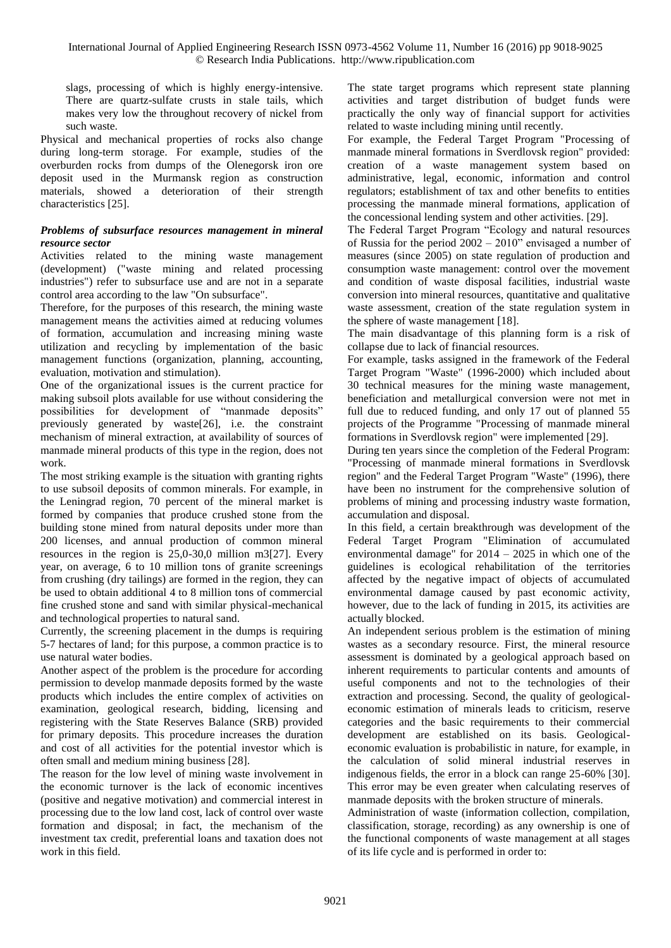slags, processing of which is highly energy-intensive. There are quartz-sulfate crusts in stale tails, which makes very low the throughout recovery of nickel from such waste.

Physical and mechanical properties of rocks also change during long-term storage. For example, studies of the overburden rocks from dumps of the Olenegorsk iron ore deposit used in the Murmansk region as construction materials, showed a deterioration of their strength characteristics [25].

## *Problems of subsurface resources management in mineral resource sector*

Activities related to the mining waste management (development) ("waste mining and related processing industries") refer to subsurface use and are not in a separate control area according to the law "On subsurface".

Therefore, for the purposes of this research, the mining waste management means the activities aimed at reducing volumes of formation, accumulation and increasing mining waste utilization and recycling by implementation of the basic management functions (organization, planning, accounting, evaluation, motivation and stimulation).

One of the organizational issues is the current practice for making subsoil plots available for use without considering the possibilities for development of "manmade deposits" previously generated by waste[26], i.e. the constraint mechanism of mineral extraction, at availability of sources of manmade mineral products of this type in the region, does not work.

The most striking example is the situation with granting rights to use subsoil deposits of common minerals. For example, in the Leningrad region, 70 percent of the mineral market is formed by companies that produce crushed stone from the building stone mined from natural deposits under more than 200 licenses, and annual production of common mineral resources in the region is 25,0-30,0 million m3[27]. Every year, on average, 6 to 10 million tons of granite screenings from crushing (dry tailings) are formed in the region, they can be used to obtain additional 4 to 8 million tons of commercial fine crushed stone and sand with similar physical-mechanical and technological properties to natural sand.

Currently, the screening placement in the dumps is requiring 5-7 hectares of land; for this purpose, a common practice is to use natural water bodies.

Another aspect of the problem is the procedure for according permission to develop manmade deposits formed by the waste products which includes the entire complex of activities on examination, geological research, bidding, licensing and registering with the State Reserves Balance (SRB) provided for primary deposits. This procedure increases the duration and cost of all activities for the potential investor which is often small and medium mining business [28].

The reason for the low level of mining waste involvement in the economic turnover is the lack of economic incentives (positive and negative motivation) and commercial interest in processing due to the low land cost, lack of control over waste formation and disposal; in fact, the mechanism of the investment tax credit, preferential loans and taxation does not work in this field.

The state target programs which represent state planning activities and target distribution of budget funds were practically the only way of financial support for activities related to waste including mining until recently.

For example, the Federal Target Program "Processing of manmade mineral formations in Sverdlovsk region" provided: creation of a waste management system based on administrative, legal, economic, information and control regulators; establishment of tax and other benefits to entities processing the manmade mineral formations, application of the concessional lending system and other activities. [29].

The Federal Target Program "Ecology and natural resources of Russia for the period 2002 – 2010" envisaged a number of measures (since 2005) on state regulation of production and consumption waste management: control over the movement and condition of waste disposal facilities, industrial waste conversion into mineral resources, quantitative and qualitative waste assessment, creation of the state regulation system in the sphere of waste management [18].

The main disadvantage of this planning form is a risk of collapse due to lack of financial resources.

For example, tasks assigned in the framework of the Federal Target Program "Waste" (1996-2000) which included about 30 technical measures for the mining waste management, beneficiation and metallurgical conversion were not met in full due to reduced funding, and only 17 out of planned 55 projects of the Programme "Processing of manmade mineral formations in Sverdlovsk region" were implemented [29].

During ten years since the completion of the Federal Program: "Processing of manmade mineral formations in Sverdlovsk region" and the Federal Target Program "Waste" (1996), there have been no instrument for the comprehensive solution of problems of mining and processing industry waste formation, accumulation and disposal.

In this field, a certain breakthrough was development of the Federal Target Program "Elimination of accumulated environmental damage" for 2014 – 2025 in which one of the guidelines is ecological rehabilitation of the territories affected by the negative impact of objects of accumulated environmental damage caused by past economic activity, however, due to the lack of funding in 2015, its activities are actually blocked.

An independent serious problem is the estimation of mining wastes as a secondary resource. First, the mineral resource assessment is dominated by a geological approach based on inherent requirements to particular contents and amounts of useful components and not to the technologies of their extraction and processing. Second, the quality of geologicaleconomic estimation of minerals leads to criticism, reserve categories and the basic requirements to their commercial development are established on its basis. Geologicaleconomic evaluation is probabilistic in nature, for example, in the calculation of solid mineral industrial reserves in indigenous fields, the error in a block can range 25-60% [30]. This error may be even greater when calculating reserves of manmade deposits with the broken structure of minerals.

Administration of waste (information collection, compilation, classification, storage, recording) as any ownership is one of the functional components of waste management at all stages of its life cycle and is performed in order to: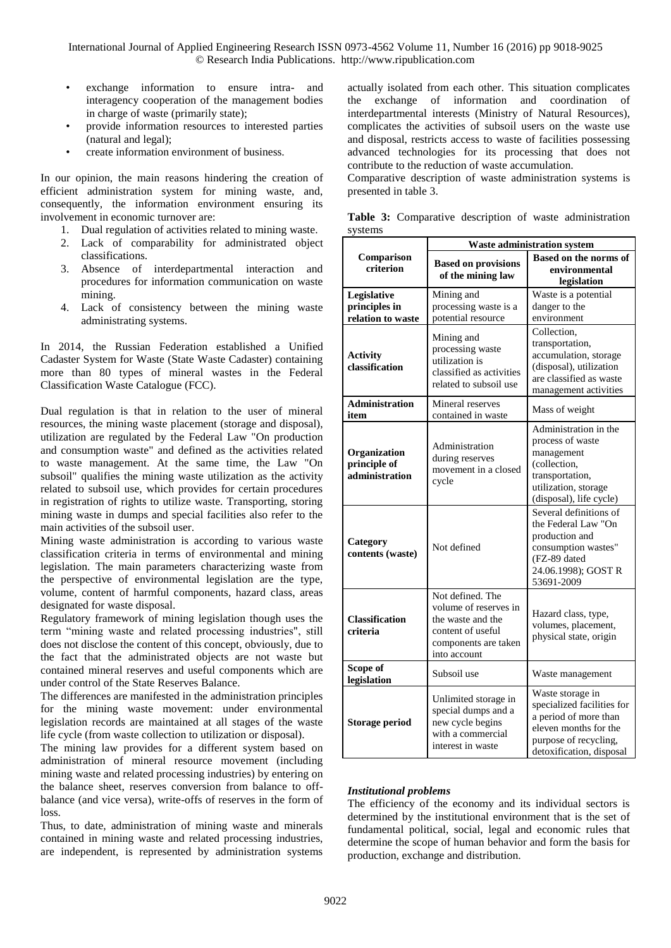- exchange information to ensure intra- and interagency cooperation of the management bodies in charge of waste (primarily state);
- provide information resources to interested parties (natural and legal);
- create information environment of business.

In our opinion, the main reasons hindering the creation of efficient administration system for mining waste, and, consequently, the information environment ensuring its involvement in economic turnover are:

- 1. Dual regulation of activities related to mining waste.
- 2. Lack of comparability for administrated object classifications.
- 3. Absence of interdepartmental interaction and procedures for information communication on waste mining.
- 4. Lack of consistency between the mining waste administrating systems.

In 2014, the Russian Federation established a Unified Cadaster System for Waste (State Waste Cadaster) containing more than 80 types of mineral wastes in the Federal Classification Waste Catalogue (FCC).

Dual regulation is that in relation to the user of mineral resources, the mining waste placement (storage and disposal), utilization are regulated by the Federal Law "On production and consumption waste" and defined as the activities related to waste management. At the same time, the Law "On subsoil" qualifies the mining waste utilization as the activity related to subsoil use, which provides for certain procedures in registration of rights to utilize waste. Transporting, storing mining waste in dumps and special facilities also refer to the main activities of the subsoil user.

Mining waste administration is according to various waste classification criteria in terms of environmental and mining legislation. The main parameters characterizing waste from the perspective of environmental legislation are the type, volume, content of harmful components, hazard class, areas designated for waste disposal.

Regulatory framework of mining legislation though uses the term "mining waste and related processing industries", still does not disclose the content of this concept, obviously, due to the fact that the administrated objects are not waste but contained mineral reserves and useful components which are under control of the State Reserves Balance.

The differences are manifested in the administration principles for the mining waste movement: under environmental legislation records are maintained at all stages of the waste life cycle (from waste collection to utilization or disposal).

The mining law provides for a different system based on administration of mineral resource movement (including mining waste and related processing industries) by entering on the balance sheet, reserves conversion from balance to offbalance (and vice versa), write-offs of reserves in the form of loss.

Thus, to date, administration of mining waste and minerals contained in mining waste and related processing industries, are independent, is represented by administration systems actually isolated from each other. This situation complicates the exchange of information and coordination of interdepartmental interests (Ministry of Natural Resources), complicates the activities of subsoil users on the waste use and disposal, restricts access to waste of facilities possessing advanced technologies for its processing that does not contribute to the reduction of waste accumulation.

Comparative description of waste administration systems is presented in table 3.

|         |  |  | Table 3: Comparative description of waste administration |
|---------|--|--|----------------------------------------------------------|
| systems |  |  |                                                          |

| 99001119                                          | <b>Waste administration system</b>                                                                                          |                                                                                                                                                       |  |  |
|---------------------------------------------------|-----------------------------------------------------------------------------------------------------------------------------|-------------------------------------------------------------------------------------------------------------------------------------------------------|--|--|
| Comparison<br>criterion                           | <b>Based on provisions</b><br>of the mining law                                                                             | <b>Based on the norms of</b><br>environmental<br>legislation                                                                                          |  |  |
| Legislative<br>principles in<br>relation to waste | Mining and<br>processing waste is a<br>potential resource                                                                   | Waste is a potential<br>danger to the<br>environment                                                                                                  |  |  |
| <b>Activity</b><br>classification                 | Mining and<br>processing waste<br>utilization is<br>classified as activities<br>related to subsoil use                      | Collection,<br>transportation,<br>accumulation, storage<br>(disposal), utilization<br>are classified as waste<br>management activities                |  |  |
| <b>Administration</b><br>item                     | Mineral reserves<br>contained in waste                                                                                      | Mass of weight                                                                                                                                        |  |  |
| Organization<br>principle of<br>administration    | Administration<br>during reserves<br>movement in a closed<br>cycle                                                          | Administration in the<br>process of waste<br>management<br>(collection,<br>transportation,<br>utilization, storage<br>(disposal), life cycle)         |  |  |
| Category<br>contents (waste)                      | Not defined                                                                                                                 | Several definitions of<br>the Federal Law "On<br>production and<br>consumption wastes"<br>(FZ-89 dated<br>24.06.1998); GOST R<br>53691-2009           |  |  |
| <b>Classification</b><br>criteria                 | Not defined. The<br>volume of reserves in<br>the waste and the<br>content of useful<br>components are taken<br>into account | Hazard class, type,<br>volumes, placement,<br>physical state, origin                                                                                  |  |  |
| Scope of<br>legislation                           | Subsoil use                                                                                                                 | Waste management                                                                                                                                      |  |  |
| <b>Storage period</b>                             | Unlimited storage in<br>special dumps and a<br>new cycle begins<br>with a commercial<br>interest in waste                   | Waste storage in<br>specialized facilities for<br>a period of more than<br>eleven months for the<br>purpose of recycling,<br>detoxification, disposal |  |  |

## *Institutional problems*

The efficiency of the economy and its individual sectors is determined by the institutional environment that is the set of fundamental political, social, legal and economic rules that determine the scope of human behavior and form the basis for production, exchange and distribution.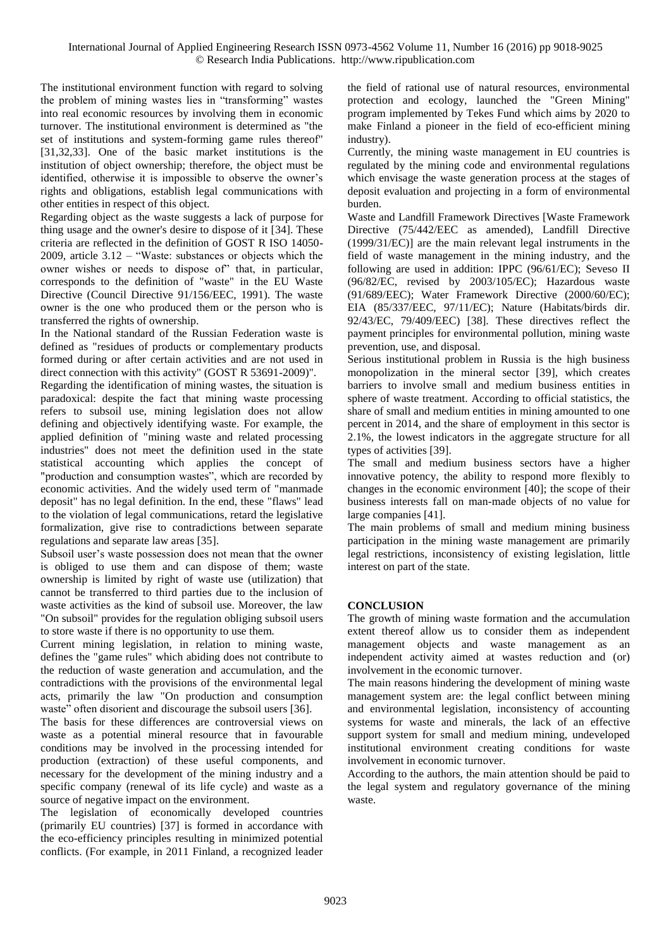The institutional environment function with regard to solving the problem of mining wastes lies in "transforming" wastes into real economic resources by involving them in economic turnover. The institutional environment is determined as "the set of institutions and system-forming game rules thereof" [31,32,33]. One of the basic market institutions is the institution of object ownership; therefore, the object must be identified, otherwise it is impossible to observe the owner's rights and obligations, establish legal communications with other entities in respect of this object.

Regarding object as the waste suggests a lack of purpose for thing usage and the owner's desire to dispose of it [34]. These criteria are reflected in the definition of GOST R ISO 14050- 2009, article 3.12 – "Waste: substances or objects which the owner wishes or needs to dispose of" that, in particular, corresponds to the definition of "waste" in the EU Waste Directive (Council Directive 91/156/EEC, 1991). The waste owner is the one who produced them or the person who is transferred the rights of ownership.

In the National standard of the Russian Federation waste is defined as "residues of products or complementary products formed during or after certain activities and are not used in direct connection with this activity" (GOST R 53691-2009)".

Regarding the identification of mining wastes, the situation is paradoxical: despite the fact that mining waste processing refers to subsoil use, mining legislation does not allow defining and objectively identifying waste. For example, the applied definition of "mining waste and related processing industries" does not meet the definition used in the state statistical accounting which applies the concept of "production and consumption wastes", which are recorded by economic activities. And the widely used term of "manmade deposit" has no legal definition. In the end, these "flaws" lead to the violation of legal communications, retard the legislative formalization, give rise to contradictions between separate regulations and separate law areas [35].

Subsoil user's waste possession does not mean that the owner is obliged to use them and can dispose of them; waste ownership is limited by right of waste use (utilization) that cannot be transferred to third parties due to the inclusion of waste activities as the kind of subsoil use. Moreover, the law "On subsoil" provides for the regulation obliging subsoil users to store waste if there is no opportunity to use them.

Current mining legislation, in relation to mining waste, defines the "game rules" which abiding does not contribute to the reduction of waste generation and accumulation, and the contradictions with the provisions of the environmental legal acts, primarily the law "On production and consumption waste" often disorient and discourage the subsoil users [36].

The basis for these differences are controversial views on waste as a potential mineral resource that in favourable conditions may be involved in the processing intended for production (extraction) of these useful components, and necessary for the development of the mining industry and a specific company (renewal of its life cycle) and waste as a source of negative impact on the environment.

The legislation of economically developed countries (primarily EU countries) [37] is formed in accordance with the eco-efficiency principles resulting in minimized potential conflicts. (For example, in 2011 Finland, a recognized leader the field of rational use of natural resources, environmental protection and ecology, launched the "Green Mining" program implemented by Tekes Fund which aims by 2020 to make Finland a pioneer in the field of eco-efficient mining industry).

Currently, the mining waste management in EU countries is regulated by the mining code and environmental regulations which envisage the waste generation process at the stages of deposit evaluation and projecting in a form of environmental burden.

Waste and Landfill Framework Directives [Waste Framework Directive (75/442/EEC as amended), Landfill Directive (1999/31/EC)] are the main relevant legal instruments in the field of waste management in the mining industry, and the following are used in addition: IPPC (96/61/EC); Seveso II (96/82/EC, revised by 2003/105/EC); Hazardous waste (91/689/EEC); Water Framework Directive (2000/60/EC); EIA (85/337/EEC, 97/11/EC); Nature (Habitats/birds dir. 92/43/EC, 79/409/EEC) [38]. These directives reflect the payment principles for environmental pollution, mining waste prevention, use, and disposal.

Serious institutional problem in Russia is the high business monopolization in the mineral sector [39], which creates barriers to involve small and medium business entities in sphere of waste treatment. According to official statistics, the share of small and medium entities in mining amounted to one percent in 2014, and the share of employment in this sector is 2.1%, the lowest indicators in the aggregate structure for all types of activities [39].

The small and medium business sectors have a higher innovative potency, the ability to respond more flexibly to changes in the economic environment [40]; the scope of their business interests fall on man-made objects of no value for large companies [41].

The main problems of small and medium mining business participation in the mining waste management are primarily legal restrictions, inconsistency of existing legislation, little interest on part of the state.

## **CONCLUSION**

The growth of mining waste formation and the accumulation extent thereof allow us to consider them as independent management objects and waste management as an independent activity aimed at wastes reduction and (or) involvement in the economic turnover.

The main reasons hindering the development of mining waste management system are: the legal conflict between mining and environmental legislation, inconsistency of accounting systems for waste and minerals, the lack of an effective support system for small and medium mining, undeveloped institutional environment creating conditions for waste involvement in economic turnover.

According to the authors, the main attention should be paid to the legal system and regulatory governance of the mining waste.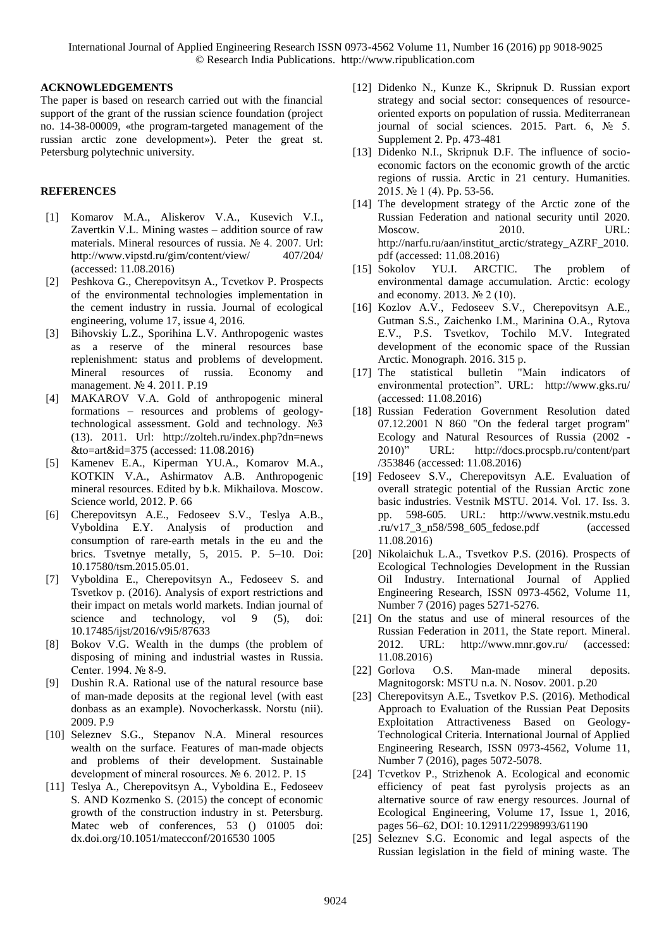## **ACKNOWLEDGEMENTS**

The paper is based on research carried out with the financial support of the grant of the russian science foundation (project no. 14-38-00009, «the program-targeted management of the russian arctic zone development»). Peter the great st. Petersburg polytechnic university.

## **REFERENCES**

- [1] Komarov M.A., Aliskerov V.A., Kusevich V.I., Zavertkin V.L. Mining wastes – addition source of raw materials. Mineral resources of russia. № 4. 2007. Url: [http://www.vipstd.ru/gim/content/view/](http://www.vipstd.ru/gim/content/view/407/204/) 407/204/ (accessed: 11.08.2016)
- [2] Peshkova G., Cherepovitsyn A., Tcvetkov P. Prospects of the environmental technologies implementation in the cement industry in russia. Journal of ecological engineering, volume 17, issue 4, 2016.
- [3] Bihovskiy L.Z., Sporihina L.V. Anthropogenic wastes as a reserve of the mineral resources base replenishment: status and problems of development. Mineral resources of russia. Economy and management. № 4. 2011. P.19
- [4] MAKAROV V.A. Gold of anthropogenic mineral formations – resources and problems of geologytechnological assessment. Gold and technology. №3 (13). 2011. Url: [http://zolteh.ru/index.php?dn=news](http://zolteh.ru/index.php?dn=news&to=art&id=375) [&to=art&id=375](http://zolteh.ru/index.php?dn=news&to=art&id=375) (accessed: 11.08.2016)
- [5] Kamenev E.A., Kiperman YU.A., Komarov M.A., KOTKIN V.A., Ashirmatov A.B. Anthropogenic mineral resources. Edited by b.k. Mikhailova. Moscow. Science world, 2012. P. 66
- [6] Cherepovitsyn A.E., Fedoseev S.V., Teslya A.B., Vyboldina E.Y. Analysis of production and consumption of rare-earth metals in the eu and the brics. Tsvetnye metally, 5, 2015. P. 5–10. Doi: 10.17580/tsm.2015.05.01.
- [7] Vyboldina E., Cherepovitsyn A., Fedoseev S. and Tsvetkov p. (2016). Analysis of export restrictions and their impact on metals world markets. Indian journal of science and technology, vol 9 (5), doi: 10.17485/ijst/2016/v9i5/87633
- [8] Bokov V.G. Wealth in the dumps (the problem of disposing of mining and industrial wastes in Russia. Center. 1994. № 8-9.
- [9] Dushin R.A. Rational use of the natural resource base of man-made deposits at the regional level (with east donbass as an example). Novocherkassk. Norstu (nii). 2009. P.9
- [10] Seleznev S.G., Stepanov N.A. Mineral resources wealth on the surface. Features of man-made objects and problems of their development. Sustainable development of mineral rosources. № 6. 2012. P. 15
- [11] Teslya A., Cherepovitsyn A., Vyboldina E., Fedoseev S. AND Kozmenko S. (2015) the concept of economic growth of the construction industry in st. Petersburg. Matec web of conferences, 53 () 01005 doi: [dx.doi.org/10.1051/matecconf/2016530](http://dx.doi.org/10.1051/matecconf/20165301005) 1005
- [12] Didenko N., Kunze K., Skripnuk D. Russian export strategy and social sector: consequences of resourceoriented exports on population of russia. Mediterranean journal of social sciences. 2015. Part. 6, № 5. Supplement 2. Pp. 473-481
- [13] Didenko N.I., Skripnuk D.F. The influence of socioeconomic factors on the economic growth of the arctic regions of russia. Arctic in 21 century. Humanities. 2015. № 1 (4). Pp. 53-56.
- [14] The development strategy of the Arctic zone of the Russian Federation and national security until 2020. Moscow. 2010. URL: [http://narfu.ru/aan/institut\\_arctic/strategy\\_AZRF\\_2010.](http://narfu.ru/aan/institut_arctic/strategy_AZRF_2010.pdf) [pdf](http://narfu.ru/aan/institut_arctic/strategy_AZRF_2010.pdf) (accessed: 11.08.2016)
- [15] Sokolov YU.I. ARCTIC. The problem of environmental damage accumulation. Arctic: ecology and economy. 2013. № 2 (10).
- [16] Kozlov A.V., Fedoseev S.V., Cherepovitsyn A.E., Gutman S.S., Zaichenko I.M., Marinina O.A., Rytova E.V., P.S. Tsvetkov, Tochilo M.V. Integrated development of the economic space of the Russian Arctic. Monograph. 2016. 315 p.
- [17] The statistical bulletin "Main indicators of environmental protection". URL: <http://www.gks.ru/> (accessed: 11.08.2016)
- [18] Russian Federation Government Resolution dated 07.12.2001 N 860 "On the federal target program" Ecology and Natural Resources of Russia (2002 - 2010)" URL: [http://docs.procspb.ru/content/part](http://docs.procspb.ru/content/part/353846) [/353846](http://docs.procspb.ru/content/part/353846) (accessed: 11.08.2016)
- [19] Fedoseev S.V., Cherepovitsyn A.E. Evaluation of overall strategic potential of the Russian Arctic zone basic industries. Vestnik MSTU. 2014. Vol. 17. Iss. 3. pp. 598-605. URL: [http://www.vestnik.mstu.edu](http://www.vestnik.mstu.edu.ru/v17_3_n58/598_605_fedose.pdf) [.ru/v17\\_3\\_n58/598\\_605\\_fedose.pdf](http://www.vestnik.mstu.edu.ru/v17_3_n58/598_605_fedose.pdf) (accessed 11.08.2016)
- [20] Nikolaichuk L.A., Tsvetkov P.S. (2016). Prospects of Ecological Technologies Development in the Russian Oil Industry. International Journal of Applied Engineering Research, ISSN 0973-4562, Volume 11, Number 7 (2016) pages 5271-5276.
- [21] On the status and use of mineral resources of the Russian Federation in 2011, the State report. Mineral. 2012. URL: <http://www.mnr.gov.ru/> (accessed: 11.08.2016)
- [22] Gorlova O.S. Man-made mineral deposits. Magnitogorsk: MSTU n.a. N. Nosov. 2001. p.20
- [23] Cherepovitsyn A.E., Tsvetkov P.S. (2016). Methodical Approach to Evaluation of the Russian Peat Deposits Exploitation Attractiveness Based on Geology-Technological Criteria. International Journal of Applied Engineering Research, ISSN 0973-4562, Volume 11, Number 7 (2016), pages 5072-5078.
- [24] Tcvetkov P., Strizhenok A. Ecological and economic efficiency of peat fast pyrolysis projects as an alternative source of raw energy resources. Journal of Ecological Engineering, Volume 17, Issue 1, 2016, pages 56–62, DOI: 10.12911/22998993/61190
- [25] Seleznev S.G. Economic and legal aspects of the Russian legislation in the field of mining waste. The